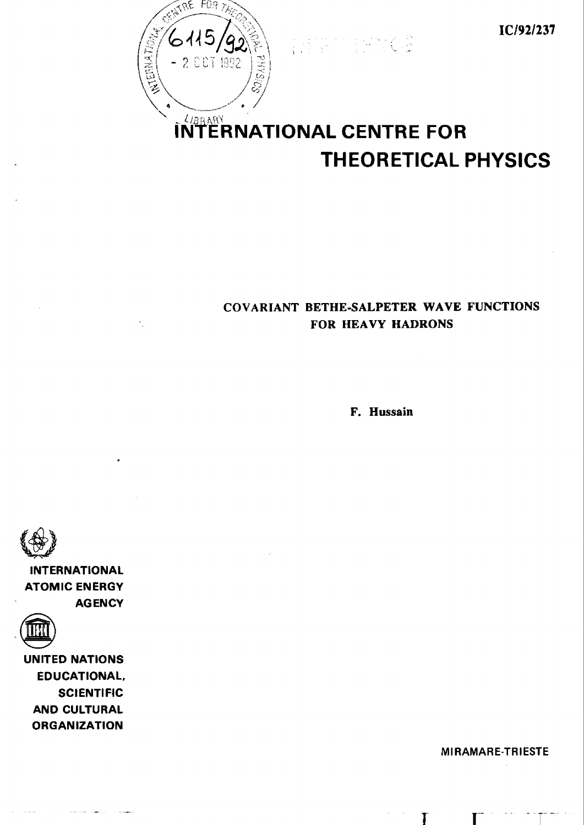**IC/92/237**



 $\frac{1}{2}$  ,  $\frac{1}{2}$ 

# **INTERNATIONAL CENTRE FOR THEORETICAL PHYSICS**

# **COVARIANT BETHE-SALPETER WAVE FUNCTIONS FOR HEAVY HADRONS**

**F. Hussain**



**INTERNATIONAL ATOMIC ENERGY AGENCY**



**UNITED NATIONS EDUCATIONAL, SCIENTIFIC AND CULTURAL ORGANIZATION**

**MIRAMARE-TRIESTE**

**T T**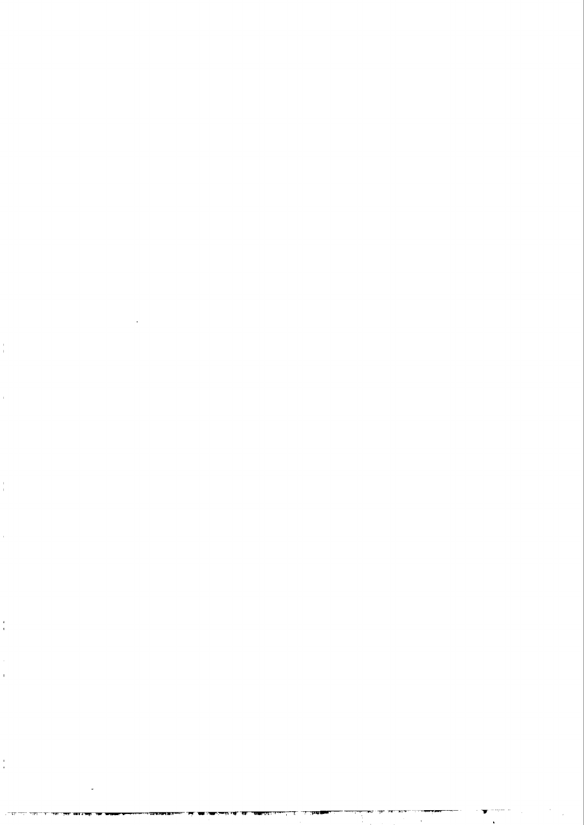سالت الحقة المس المؤالية المستقلة.<br>ا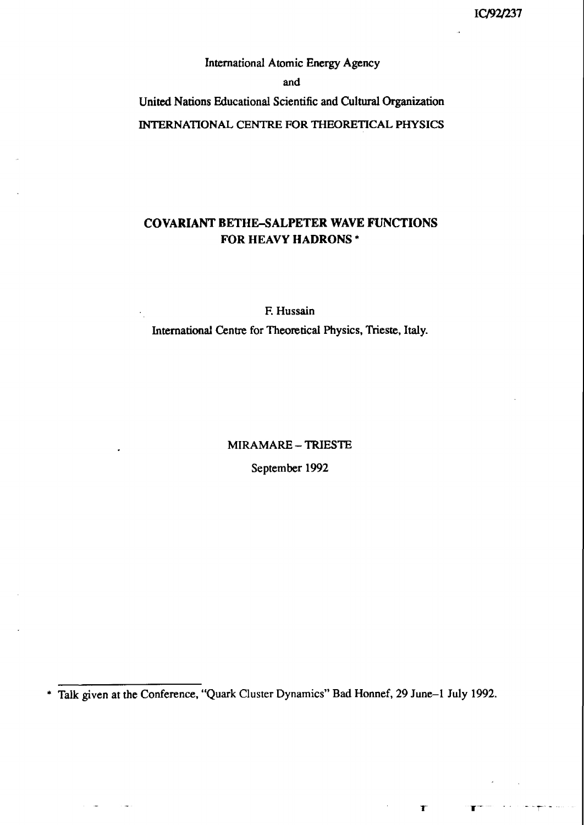للماجاجية

 $\sim 10^{-1}$  km s  $^{-1}$ 

T.

## International Atomic Energy Agency

and

United Nations Educational Scientific and Cultural Organization INTERNATIONAL CENTRE FOR THEORETICAL PHYSICS

## **CO VARIANT BETHE-SALPETER WAVE FUNCTIONS FOR HEAVY HADRONS** \*

## F. Hussain

International Centre for Theoretical Physics, Trieste, Italy.

MIRAMARE - TRIESTE September 1992

Talk given at the Conference, "Quark Cluster Dynamics" Bad Honnef, 29 June-1 July 1992.

 $\omega_{\rm{eff}}$  and  $\omega_{\rm{eff}}$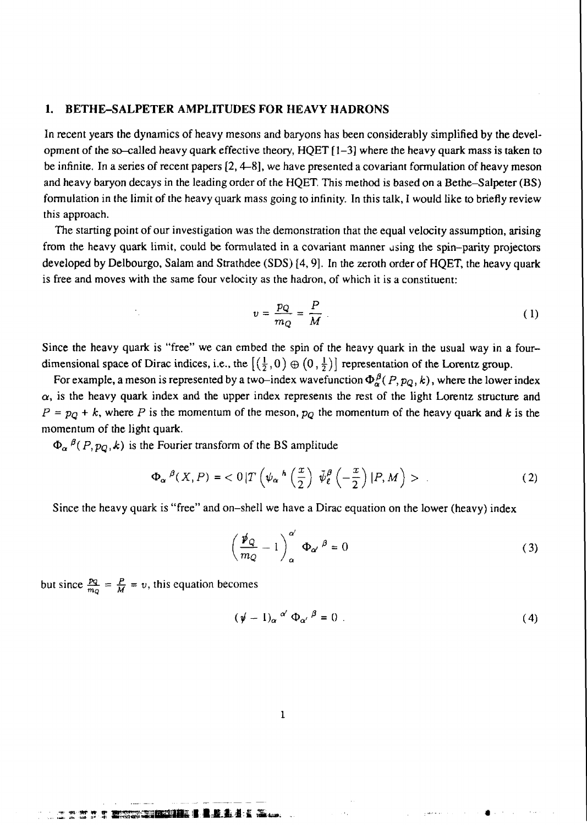### 1. BETHE-SALPETER AMPLITUDES FOR HEAVY HADRONS

In recent years the dynamics of heavy mesons and baryons has been considerably simplified by the development of the so-called heavy quark effective theory, HQET [1-3] where the heavy quark mass is taken to be infinite. In a series of recent papers *[2,*4-8], we have presented a covariant formulation of heavy meson and heavy baryon decays in the leading order of the HQET. This method is based on a Bethe-Salpeter (BS) formulation in the limit of the heavy quark mass going to infinity. In this talk, I would like to briefly review this approach.

The starting point of our investigation was the demonstration that the equal velocity assumption, arising from the heavy quark limit, could be formulated in a covariant manner using the spin-parity projectors developed by Delbourgo, Salam and Strathdee (SDS) [4,9]. In the zeroth order of HQET, the heavy quark is free and moves with the same four velocity as the hadron, of which it is a constituent:

$$
v = \frac{p_Q}{m_Q} = \frac{P}{M} \tag{1}
$$

Since the heavy quark is "free" we can embed the spin of the heavy quark in the usual way in a fourdimensional space of Dirac indices, i.e., the  $[(\frac{1}{2}, 0) \oplus (0, \frac{1}{2})]$  representation of the Lorentz group.

For example, a meson is represented by a two-index wavefunction  $\Phi_{\alpha}^{\beta}(P, p_Q, k)$ , where the lower index  $\alpha$ , is the heavy quark index and the upper index represents the rest of the light Lorentz structure and  $P = p_Q + k$ , where *P* is the momentum of the meson,  $p_Q$  the momentum of the heavy quark and k is the momentum of the light quark.

 $\Phi_{\alpha}{}^{\beta}(P, p_Q, k)$  is the Fourier transform of the BS amplitude

$$
\Phi_{\alpha}{}^{\beta}(X,P) = \langle 0|T\left(\psi_{\alpha}{}^h\left(\frac{x}{2}\right) \bar{\psi}_{\ell}^{\beta}\left(-\frac{x}{2}\right)|P,M\right) > . \tag{2}
$$

Since the heavy quark is "free" and on-shell we have a Dirac equation on the lower (heavy) index

$$
\left(\frac{\rlap{\hspace{0.02cm}/}{n_q}}{m_Q}-1\right)^{\alpha'}_{\alpha}\Phi_{\alpha'}^{\beta}=0\tag{3}
$$

but since  $\frac{pq}{m_0} = \frac{p}{M} = v$ , this equation becomes

**t.a\*.- JSi ILS\*-**

$$
(\psi - 1)_{\alpha}{}^{\alpha'} \Phi_{\alpha'}{}^{\beta} = 0 \tag{4}
$$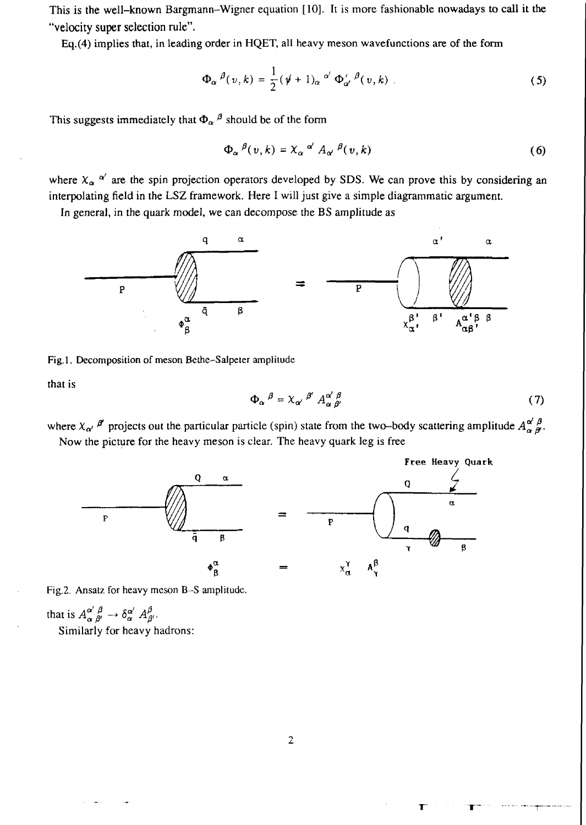This is the well-known Bargmann-Wigner equation [10]. It is more fashionable nowadays to call it the "velocity super selection rule".

Eq.(4) implies that, in leading order in HQET, all heavy meson wavefunctions are of the form

$$
\Phi_{\alpha}{}^{\beta}(v,k) = \frac{1}{2}(\psi + 1)_{\alpha}{}^{\alpha'}\Phi_{\alpha'}{}^{\beta}(v,k) \tag{5}
$$

This suggests immediately that  $\Phi_{\alpha}$  <sup> $\beta$ </sup> should be of the form

$$
\Phi_{\alpha}{}^{\beta}(v,k) = \chi_{\alpha}{}^{\alpha'} A_{\alpha'}{}^{\beta}(v,k)
$$
 (6)

where  $X_{\alpha}$ <sup> $\alpha'$ </sup> are the spin projection operators developed by SDS. We can prove this by considering an interpolating field in the LSZ framework. Here I will just give a simple diagrammatic argument.

In general, in the quark model, we can decompose the BS amplitude as



Fig.l. Decomposition of meson Bethe-Salpeter amplitude

that is

$$
\Phi_{\alpha}{}^{\beta} = \chi_{\alpha'}{}^{\beta'} A_{\alpha \beta'}^{\alpha' \beta} \tag{7}
$$

where  $X_{\alpha'}$   $^{\beta'}$  projects out the particular particle (spin) state from the two-body scattering amplitude  $A_{\alpha}^{\alpha'}$   $^{\beta}_{\beta'}$ . Now the picture for the heavy meson is clear. The heavy quark leg is free



Fig.2. Ansatz for heavy meson B-S amplitude.

that is  $A_{\alpha \ \beta'}^{\alpha' \ \beta} \rightarrow \delta_{\alpha}^{\alpha'} A_{\beta'}^{\beta}$ . Similarly for heavy hadrons: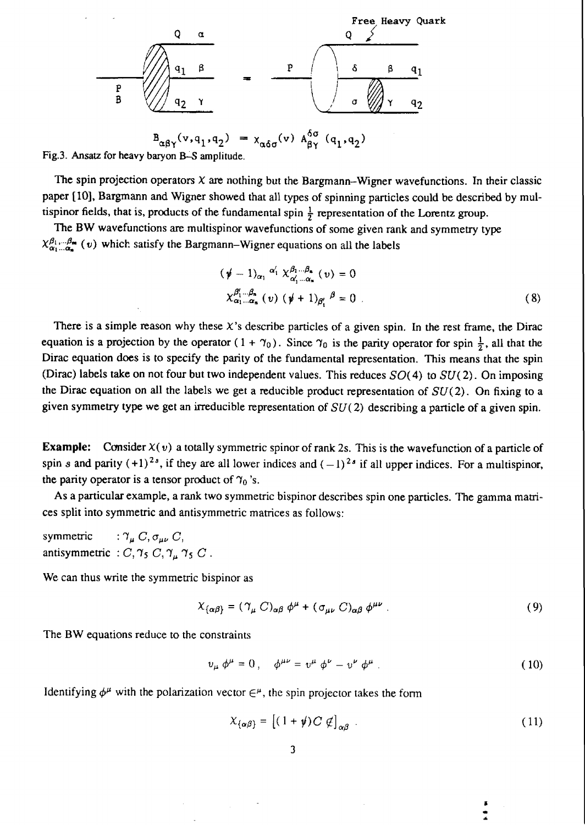

The spin projection operators  $X$  are nothing but the Bargmann-Wigner wavefunctions. In their classic paper [10], Bargmann and Wigner showed that all types of spinning particles could be described by multispinor fields, that is, products of the fundamental spin  $\frac{1}{2}$  representation of the Lorentz group.

The BW wavefunctions are multispinor wavefunctions of some given rank and symmetry type  $\chi_{\alpha_1...\alpha_n}^{\beta_1}(\nu)$  which satisfy the Bargmann-Wigner equations on all the labels

$$
(\boldsymbol{\psi} - 1)_{\alpha_1} \alpha_1' \chi^{\beta_1 \dots \beta_n}_{\alpha_1' \dots \alpha_n} (v) = 0
$$
  

$$
\chi^{\beta_1' \dots \beta_n}_{\alpha_1 \dots \alpha_n} (v) (\boldsymbol{\psi} + 1)_{\beta_1'} \beta = 0
$$
 (8)

There is a simple reason why these  $X$ 's describe particles of a given spin. In the rest frame, the Dirac equation is a projection by the operator (1 +  $\gamma_0$ ). Since  $\gamma_0$  is the parity operator for spin  $\frac{1}{2}$ , all that the Dirac equation does is to specify the parity of the fundamental representation. This means that the spin (Dirac) labels take on not four but two independent values. This reduces *SO(A)* to *SU( 2).* On imposing the Dirac equation on all the labels we get a reducible product representation of *SU(2)*. On fixing to a given symmetry type we get an irreducible representation of *SU(* 2) describing a particle of a given spin.

**Example:** Consider  $X(v)$  a totally symmetric spinor of rank 2s. This is the wavefunction of a particle of spin s and parity  $(+1)^{2s}$ , if they are all lower indices and  $(-1)^{2s}$  if all upper indices. For a multispinor, the parity operator is a tensor product of  $\gamma_0$ 's.

As a particular example, a rank two symmetric bispinor describes spin one particles. The gamma matrices split into symmetric and antisymmetric matrices as follows:

symmetric  $: \gamma_{\mu} C, \sigma_{\mu\nu} C,$ antisymmetric  $: C, \gamma_5, C, \gamma_\mu, \gamma_5, C$ .

We can thus write the symmetric bispinor as

$$
\chi_{\{\alpha\beta\}} = (\gamma_{\mu} C)_{\alpha\beta} \phi^{\mu} + (\sigma_{\mu\nu} C)_{\alpha\beta} \phi^{\mu\nu} \tag{9}
$$

The BW equations reduce to the constraints

$$
\nu_{\mu} \phi^{\mu} = 0, \quad \phi^{\mu\nu} = v^{\mu} \phi^{\nu} - v^{\nu} \phi^{\mu} \tag{10}
$$

Identifying  $\phi^\mu$  with the polarization vector  $\in \phi$ , the spin projector takes the form

$$
\chi_{\{\alpha\beta\}} = \left[ (1 + \psi) C \not\in \right]_{\alpha\beta} \tag{11}
$$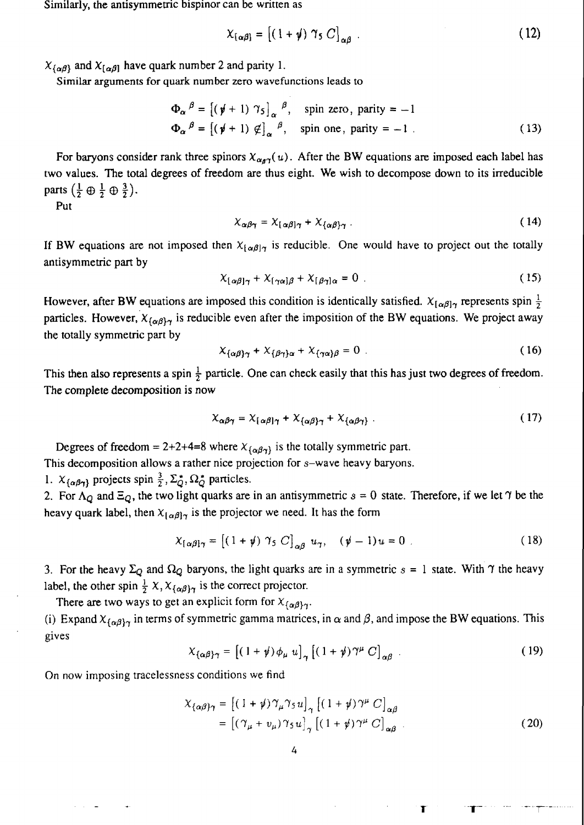Similarly, the antisymmetric bispinor can be written as

$$
\chi_{[\alpha\beta]} = \left[ (1+\psi) \; \gamma_5 \; C \right]_{\alpha\beta} \; . \tag{12}
$$

 $X_{\{\alpha\beta\}}$  and  $X_{[\alpha\beta]}$  have quark number 2 and parity 1.

Similar arguments for quark number zero wavefunctions leads to

$$
\Phi_{\alpha}{}^{\beta} = [(\psi + 1) \ \gamma_5]_{\alpha}{}^{\beta}, \quad \text{spin zero, parity} = -1
$$
  

$$
\Phi_{\alpha}{}^{\beta} = [(\psi + 1) \ \notin]_{\alpha}{}^{\beta}, \quad \text{spin one, parity} = -1
$$
 (13)

For baryons consider rank three spinors  $\chi_{\alpha,q}(u)$ . After the BW equations are imposed each label has two values. The total degrees of freedom are thus eight. We wish to decompose down to its irreducible parts  $\left(\frac{1}{2} \oplus \frac{1}{2} \oplus \frac{3}{2}\right)$ .

Put

$$
\chi_{\alpha\beta\gamma} = \chi_{\{\alpha\beta\}\gamma} + \chi_{\{\alpha\beta\}\gamma} \tag{14}
$$

If BW equations are not imposed then  $X_{\alpha\beta}$  is reducible. One would have to project out the totally antisymmetric part by

$$
\chi_{\left[\alpha\beta\right]\gamma} + \chi_{\left[\gamma\alpha\right]\beta} + \chi_{\left[\beta\gamma\right]\alpha} = 0 \tag{15}
$$

However, after BW equations are imposed this condition is identically satisfied.  $X_{[\alpha\beta]\gamma}$  represents spin  $\frac{1}{2}$ particles. However,  $\chi_{\{\alpha\beta\gamma\}}$  is reducible even after the imposition of the BW equations. We project away the totally symmetric part by

$$
\chi_{\{\alpha\beta\}\gamma} + \chi_{\{\beta\gamma\}\alpha} + \chi_{\{\gamma\alpha\}\beta} = 0 \tag{16}
$$

This then also represents a spin  $\frac{1}{2}$  particle. One can check easily that this has just two degrees of freedom. The complete decomposition is now

$$
\chi_{\alpha\beta\gamma} = \chi_{\{\alpha\beta\gamma} + \chi_{\{\alpha\beta\gamma} + \chi_{\{\alpha\beta\gamma\}}\}}.
$$
 (17)

Degrees of freedom = 2+2+4=8 where  $X_{\{\alpha\beta\gamma\}}$  is the totally symmetric part.

This decomposition allows a rather nice projection for s-wave heavy baryons.

1.  $\chi_{\{\alpha\beta\gamma\}}$  projects spin  $\frac{3}{2}$ ,  $\Sigma_{\mathcal{Q}}^*$ ,  $\Omega_{\mathcal{Q}}^*$  particles.

2. For  $\Lambda_Q$  and  $\Xi_Q$ , the two light quarks are in an antisymmetric  $s = 0$  state. Therefore, if we let  $\gamma$  be the heavy quark label, then  $X_{\lceil \alpha\beta\rceil\gamma}$  is the projector we need. It has the form

$$
\chi_{\{\alpha\beta\}\gamma} = \left[ (1+\psi) \ \gamma_5 \ C \right]_{\alpha\beta} \ u_\gamma, \quad (\psi-1) \ u = 0 \ . \tag{18}
$$

3. For the heavy  $\Sigma_Q$  and  $\Omega_Q$  baryons, the light quarks are in a symmetric  $s = 1$  state. With  $\gamma$  the heavy label, the other spin  $\frac{1}{2}$   $\chi$ ,  $\chi$ <sub>{ $\alpha\beta$ }</sub> is the correct projector.

There are two ways to get an explicit form for  $X^T_{\{\alpha\beta\gamma\}}$ .

(i) Expand  $\chi_{\{\alpha\beta\gamma\}}$  in terms of symmetric gamma matrices, in  $\alpha$  and  $\beta$ , and impose the BW equations. This gives

$$
\chi_{\{\alpha\beta\}\gamma} = \left[ (1+\psi)\phi_\mu u \right]_\gamma \left[ (1+\psi)\gamma^\mu C \right]_{\alpha\beta} \tag{19}
$$

On now imposing tracelessness conditions we find

$$
\chi_{\{\alpha\beta\}\gamma} = \left[ (1+\psi)\gamma_\mu\gamma_5 u \right]_\gamma \left[ (1+\psi)\gamma^\mu C \right]_{\alpha\beta}
$$
  
= 
$$
\left[ (\gamma_\mu + v_\mu)\gamma_5 u \right]_\gamma \left[ (1+\psi)\gamma^\mu C \right]_{\alpha\beta}
$$
 (20)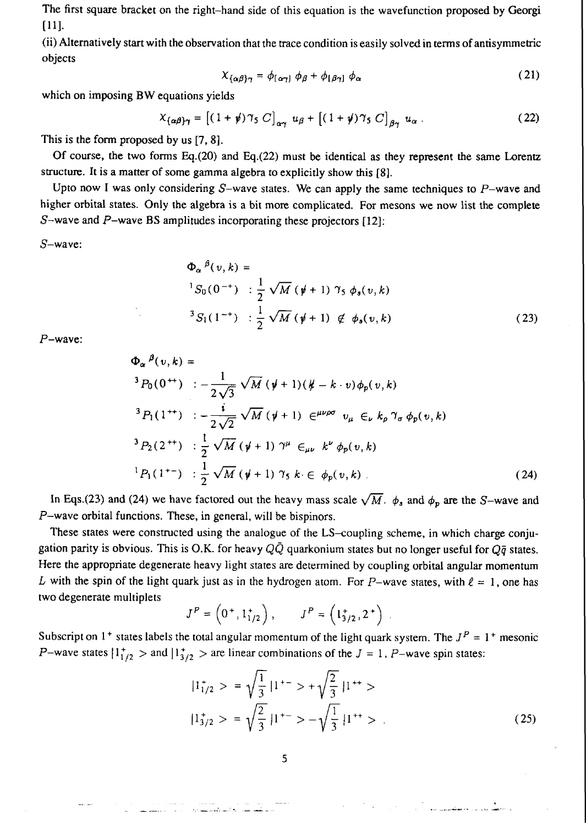The first square bracket on the right-hand side of this equation is the wavefunction proposed by Georgi [11].

(ii) Alternatively start with the observation that the trace condition is easily solved in terms of antisymmetric objects

$$
\chi_{\{\alpha\beta\gamma\}} = \phi_{[\alpha\gamma]} \phi_{\beta} + \phi_{[\beta\gamma]} \phi_{\alpha} \tag{21}
$$

which on imposing BW equations yields

$$
\chi_{\{\alpha\beta\}\gamma} = \left[ (1+\rlap{\,/}\gamma_5 C \right]_{\alpha\gamma} u_\beta + \left[ (1+\rlap{\,/}\gamma_5 C \right]_{\beta\gamma} u_\alpha \,. \tag{22}
$$

This is the form proposed by us [7, 8].

Of course, the two forms Eq.(20) and Eq.(22) must be identical as they represent the same Lorentz structure. It is a matter of some gamma algebra to explicitly show this [8].

Upto now I was only considering  $S$ -wave states. We can apply the same techniques to  $P$ -wave and higher orbital states. Only the algebra is a bit more complicated. For mesons we now list the complete S-wave and P-wave BS amplitudes incorporating these projectors [12]:

S-wave:

$$
\Phi_{\alpha}{}^{\beta}(v,k) =
$$
  
\n<sup>1</sup>S<sub>0</sub>(0<sup>-+</sup>) :  $\frac{1}{2} \sqrt{M} (\not{p} + 1) \gamma_5 \phi_s(v,k)$   
\n<sup>3</sup>S<sub>1</sub>(1<sup>-+</sup>) :  $\frac{1}{2} \sqrt{M} (\not{p} + 1) \notin \phi_s(v,k)$  (23)

F-wave:

$$
\Phi_{\alpha}{}^{\beta}(v,k) =
$$
\n
$$
{}^{3}P_{0}(0^{++}) : -\frac{1}{2\sqrt{3}}\sqrt{M}(\psi+1)(\psi-k\cdot v)\phi_{p}(v,k)
$$
\n
$$
{}^{3}P_{1}(1^{++}) : -\frac{i}{2\sqrt{2}}\sqrt{M}(\psi+1) \in^{\mu\nu\rho\sigma} v_{\mu} \in_{\nu} k_{\rho} \gamma_{\sigma} \phi_{p}(v,k)
$$
\n
$$
{}^{3}P_{2}(2^{++}) : \frac{1}{2}\sqrt{M}(\psi+1) \gamma^{\mu} \in_{\mu\nu} k^{\nu} \phi_{p}(v,k)
$$
\n
$$
{}^{1}P_{1}(1^{+-}) : \frac{1}{2}\sqrt{M}(\psi+1) \gamma_{5} k \in \phi_{p}(v,k)
$$
\n(24)

In Eqs.(23) and (24) we have factored out the heavy mass scale  $\sqrt{M}$ .  $\phi_s$  and  $\phi_p$  are the S-wave and F-wave orbital functions. These, in general, will be bispinors.

These states were constructed using the analogue of the LS-coupling scheme, in which charge conjugation parity is obvious. This is O.K. for heavy *QQ* quarkonium states but no longer useful for *Qq* states. Here the appropriate degenerate heavy light states are determined by coupling orbital angular momentum *L* with the spin of the light quark just as in the hydrogen atom. For P-wave states, with  $\ell = 1$ , one has two degenerate multiplets

$$
J^{P} = \left(0^{+}, 1^{+}_{1/2}\right), \qquad J^{P} = \left(1^{+}_{3/2}, 2^{+}\right)
$$

Subscript on  $1^+$  states labels the total angular momentum of the light quark system. The  $J^P = 1^+$  mesonic P-wave states  $1_{1/2}^+$  > and  $1_{3/2}^+$  > are linear combinations of the *J* = 1, P-wave spin states:

$$
|1_{1/2}^{+}\rangle = \sqrt{\frac{1}{3}}|1^{+-}\rangle + \sqrt{\frac{2}{3}}|1^{++}\rangle
$$
  

$$
|1_{3/2}^{+}\rangle = \sqrt{\frac{2}{3}}|1^{+-}\rangle - \sqrt{\frac{1}{3}}|1^{++}\rangle . \qquad (25)
$$

ة.<br>ب 1972 - المعدد المحدد المحدد المحدد المحدد المحدد المحدد المحدد المحدد المحدد المحدد المحدد المحدد المحدد ال

المتحدة المسابقة والمتحدة.<br>الشباب الأراكسية للمستهدية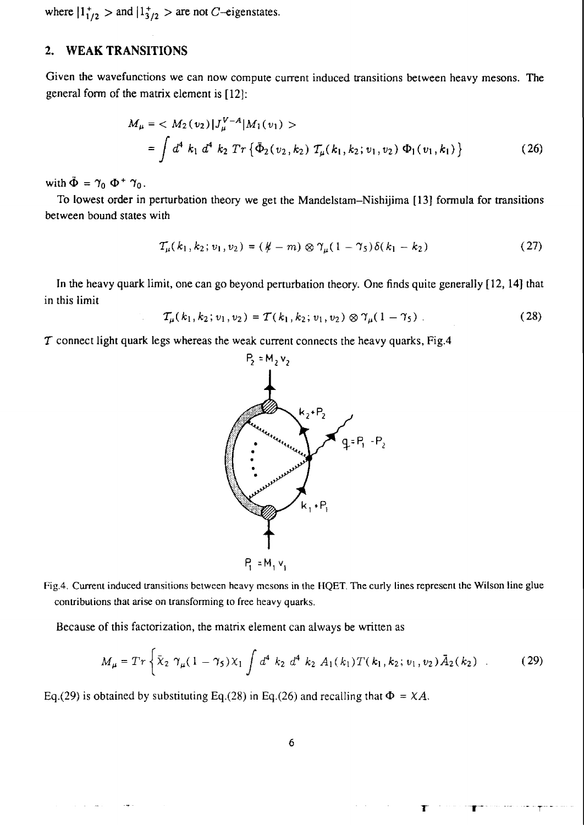where  $\left| \frac{1}{1/2} \right| >$  and  $\left| \frac{1}{3/2} \right| >$  are not C-eigenstates.

## **2. WEAK TRANSITIONS**

Given the wavefunctions we can now compute current induced transitions between heavy mesons. The general form of the matrix element is [12]:

$$
M_{\mu} = \langle M_2(v_2) | J_{\mu}^{V-A} | M_1(v_1) \rangle
$$
  
=  $\int d^4 k_1 d^4 k_2 Tr {\bar{\Phi}_2(v_2, k_2) \mathcal{T}_{\mu}(k_1, k_2; v_1, v_2) \Phi_1(v_1, k_1)}$  (26)

with  $\vec{\Phi} = \gamma_0 \Phi^+ \gamma_0$ .

and the company's

To lowest order in perturbation theory we get the Mandelstam-Nishijima [13] formula for transitions between bound states with

$$
\mathcal{T}_{\mu}(k_1, k_2; v_1, v_2) = (\nparallel - m) \otimes \gamma_{\mu}(1 - \gamma_5) \delta(k_1 - k_2)
$$
\n(27)

In the heavy quark limit, one can go beyond perturbation theory. One finds quite generally [12, 14] that in this limit

$$
\mathcal{T}_{\mu}(k_1,k_2;v_1,v_2) = \mathcal{T}(k_1,k_2;v_1,v_2) \otimes \gamma_{\mu}(1-\gamma_5) \tag{28}
$$

*T* connect light quark legs whereas the weak current connects the heavy quarks, Fig.4



Fig.4. Current induced transitions between heavy mesons in the HQET. The curly lines represent the Wilson line glue contributions that arise on transforming to free heavy quarks.

Because of this factorization, the matrix element can always be written as

$$
M_{\mu} = Tr \left\{ \bar{\chi}_2 \ \gamma_{\mu} (1 - \gamma_5) \chi_1 \int d^4 k_2 \ d^4 k_2 \ A_1(k_1) T(k_1, k_2; v_1, v_2) \bar{A}_2(k_2) \right. \tag{29}
$$

 $\Delta\sim 10^7$ 

Eq.(29) is obtained by substituting Eq.(28) in Eq.(26) and recalling that  $\Phi = \chi A$ .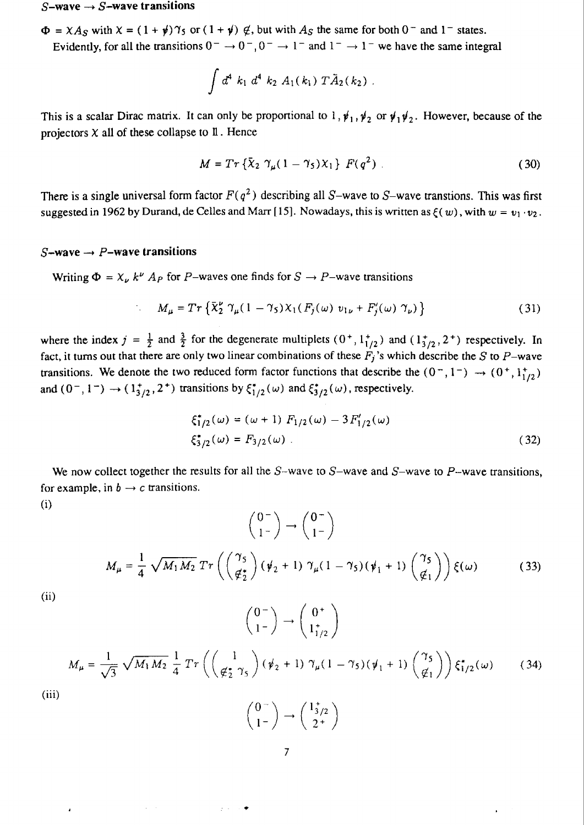#### $S$ -wave  $\rightarrow$  S-wave transitions

 $\Phi = \chi A_S$  with  $\chi = (1 + \psi) \gamma_S$  or  $(1 + \psi) \notin$ , but with  $A_S$  the same for both  $0^-$  and  $1^-$  states. Evidently, for all the transitions  $0^- \rightarrow 0^-$ ,  $0^- \rightarrow 1^-$  and  $1^- \rightarrow 1^-$  we have the same integral

$$
\int d^4 k_1 d^4 k_2 A_1(k_1) T\tilde{A}_2(k_2)
$$

This is a scalar Dirac matrix. It can only be proportional to 1,  $\psi_1$ ,  $\psi_2$  or  $\psi_1 \psi_2$ . However, because of the projectors  $X$  all of these collapse to  $\mathbb I$ . Hence

$$
M = Tr\left\{\bar{X}_2 \; \gamma_\mu (1 - \gamma_5) X_1\right\} \; F(q^2) \tag{30}
$$

There is a single universal form factor  $F(q^2)$  describing all S-wave to S-wave transtions. This was first suggested in 1962 by Durand, de Celles and Marr [15]. Nowadays, this is written as  $\xi(w)$ , with  $w = v_1 \cdot v_2$ .

#### $S$ **-wave**  $\rightarrow$  *P*-wave transitions

Writing  $\Phi = \chi_{\nu} k^{\nu} A_{P}$  for P-waves one finds for  $S \to P$ -wave transitions

$$
M_{\mu} = Tr\left\{\bar{\chi}_2^{\nu} \; \gamma_{\mu} (1 - \gamma_5) \chi_1(F_j(\omega) \; v_{1\nu} + F_j'(\omega) \; \gamma_{\nu})\right\} \tag{31}
$$

where the index  $j = \frac{1}{2}$  and  $\frac{3}{2}$  for the degenerate multiplets  $(0^+, 1^+_{1/2})$  and  $(1^+_{3/2}, 2^+)$  respectively. In fact, it turns out that there are only two linear combinations of these F, 's which describe the *S* to F-wave transitions. We denote the two reduced form factor functions that describe the  $(0^-, 1^-) \rightarrow (0^+, 1^+_{1/2})$ and  $(0^-, 1^-) \rightarrow (1^+_{3/2}, 2^+)$  transitions by  $\xi_{1/2}^*(\omega)$  and  $\xi_{3/2}^*(\omega)$ , respectively.

$$
\xi_{1/2}^*(\omega) = (\omega + 1) F_{1/2}(\omega) - 3F'_{1/2}(\omega)
$$
  

$$
\xi_{3/2}^*(\omega) = F_{3/2}(\omega) .
$$
 (32)

 $\bullet$ 

We now collect together the results for all the  $S$ -wave to  $S$ -wave and  $S$ -wave to  $P$ -wave transitions, for example, in  $b \rightarrow c$  transitions.

$$
_{\rm (i)}
$$

$$
\begin{pmatrix} 0^- \\ 1^- \end{pmatrix} \rightarrow \begin{pmatrix} 0^- \\ 1^- \end{pmatrix}
$$

$$
M_{\mu} = \frac{1}{4} \sqrt{M_1 M_2} Tr \left( \begin{pmatrix} \gamma_5 \\ \phi_2^* \end{pmatrix} (\psi_2 + 1) \gamma_{\mu} (1 - \gamma_5) (\psi_1 + 1) \begin{pmatrix} \gamma_5 \\ \phi_1 \end{pmatrix} \right) \xi(\omega)
$$
(33)

**(ii)**

$$
\begin{pmatrix} 0^- \\ 1^- \end{pmatrix} \rightarrow \begin{pmatrix} 0^+ \\ 1^+_{1/2} \end{pmatrix}
$$
  

$$
M_{\mu} = \frac{1}{\sqrt{3}} \sqrt{M_1 M_2} \frac{1}{4} Tr \left( \begin{pmatrix} 1 \\ \frac{\mu_2}{2} \gamma_5 \end{pmatrix} (\psi_2 + 1) \gamma_{\mu} (1 - \gamma_5) (\psi_1 + 1) \begin{pmatrix} \gamma_5 \\ \frac{\mu_1}{2} \end{pmatrix} \right) \xi_{1/2}^*(\omega) \qquad (34)
$$
  

$$
\begin{pmatrix} 0^- \\ 1^- \end{pmatrix} \rightarrow \begin{pmatrix} 1^+_{3/2} \\ 2^+ \end{pmatrix}
$$

(iii)

 $\label{eq:2.1} \mathcal{L}(\mathcal{A})=\mathcal{L}(\mathcal{A})\otimes\mathcal{L}(\mathcal{A})=\mathcal{L}(\mathcal{A})\otimes\mathcal{L}(\mathcal{A})\otimes\mathcal{A}$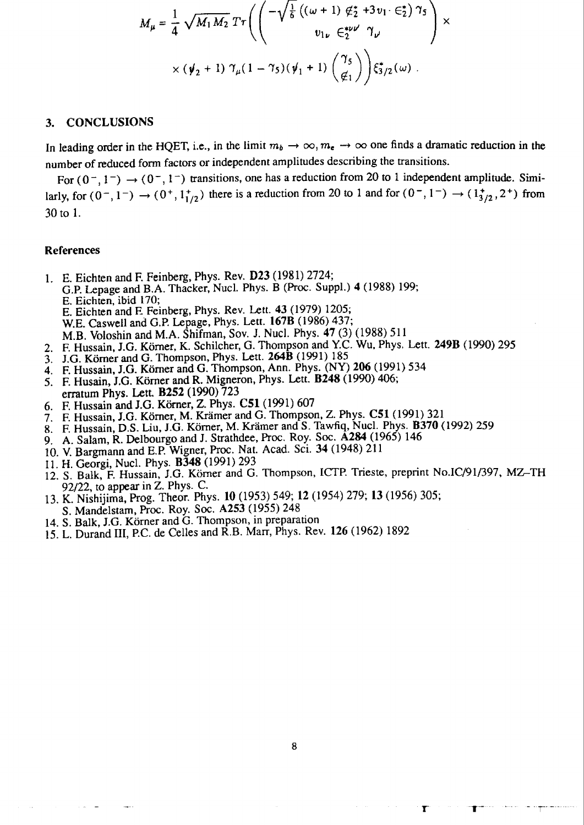$$
M_{\mu} = \frac{1}{4} \sqrt{M_1 M_2} \operatorname{Tr} \left( \left( \frac{-\sqrt{\frac{1}{6}} \left( (\omega + 1) \notin_2^* + 3v_1 \cdot \in_2^* \right) \gamma_5}{v_{1\mu} \in_2^{*\mu\nu} \gamma_{\mu}} \right) \times \right)
$$

$$
\times (\psi_2 + 1) \gamma_{\mu} (1 - \gamma_5) (\psi_1 + 1) \begin{pmatrix} \gamma_5 \\ \notin_1 \end{pmatrix} \right) \xi_{3/2}^*(\omega) .
$$

#### 3. **CONCLUSIONS**

In leading order in the HQET, i.e., in the limit  $m_b \to \infty$ ,  $m_e \to \infty$  one finds a dramatic reduction in the number of reduced form factors or independent amplitudes describing the transitions.

For  $(0^-, 1^-) \rightarrow (0^-, 1^-)$  transitions, one has a reduction from 20 to 1 independent amplitude. Similarly, for  $(0^-,1^-) \rightarrow (0^+,1^+_{1/2})$  there is a reduction from 20 to 1 and for  $(0^-,1^-) \rightarrow (1^+_{3/2},2^+)$  from 30 to 1.

#### References

- 1. E. Eichten and F. Feinberg, Phys. Rev. **D23** (1981) 2724; G.P. Lepage and B.A. Thacker, Nucl. Phys. B (Proc. Suppl.) 4 (1988) 199; E. Eichten and F. Feinberg, Phys. Rev. Lett. 43 (1979) 1205; E. Eichten and E Feinberg, Phys. Rev. Lett. **43** (1979) 1205; W.E. Caswell and G.P. Lepage, Phys. Lett. **167B** (1766) 437;<br>N.E. M.J. Line of M.A. Skifman, Sou, J. Nuol. Phys. 47 (3) M.B. Voloshin andM.A. Shifman, Sov. J. Nucl. Phys. **47** (3) (1988) 511
- 2. F. Hussain, J.G. Korner, K. Schilcher, G. Thompson and Y.C. Wu, Phys. Lett. **249B** (1990) 295
- 3. J.G. Korner and G. Thompson, Phys. Lett. **264B** (1991) 185
- 4. F. Hussain, J.G. Korner and G. Thompson, Ann. Phys. (NY) **206** (1991) 534
- 5. F. Husain, J.G. Korner and R. Migneron, Phys. Lett. **B248** (1990) 406;
- 
- 6. F. Hussain and J.G. Körner, Z. Phys. C51 (1991) 607
- 7. F. Hussain, J.G. Körner, M. Krämer and G. Thompson, Z. Phys. C51 (1991) 321 7. F. Hussain, J.G. Korner, M. Kramer and G. Thompson, Z. Phys. **C51** (1991) 321
- 8. F. Hussain, D.S. Liu, J.G. Konier, M. Kramer and S. Tawng, Nucl. 1 hys. **B**370 (1992) 259<br>0. **Angletic D. Delhourge and J. Strathdee, Proc. Roy. Soc. 4984 (1965) 146**
- 9. A. Salam, R. Delbourgo and J. Strathdee, Proc. Roy. Soc. **A284** (1965) 146
- 10. V. Bargmann and E.P. Wigner, Proc. Nat. Acad. Sci. **34** (1948) 211
- 
- 11. H. Georgi, Nuci. Phys. **B348** (1991) 293 12. S. Balk, F. Hussain, J.G. Essen, T.G. Korner and G. Thompson, I.G. Thompson, I.G. C.
- 92/22, to appear in Z. Phys. C.<br>13, K. Nishijima, Prog. Theor. Phys. 10 (1953) 549; 12 (1954) 279; 13 (1956) 305;
- 13. K. Nishijima, Prog. Theor. Phys. **10** (1953) 549; **12** (1954) 279; **13** (1956) 305;
- 14. S. Balk, J.G. Körner and G. Thompson, in preparation
- $15.$  B Bally,  $\mu$  B II. P.C. de Celles and R.B. Marr, Phys. Re 15. L. Durand III, PC. de Celles and R.B. Marr, Phys. Rev. **126** (1962) 1892

**• • r**